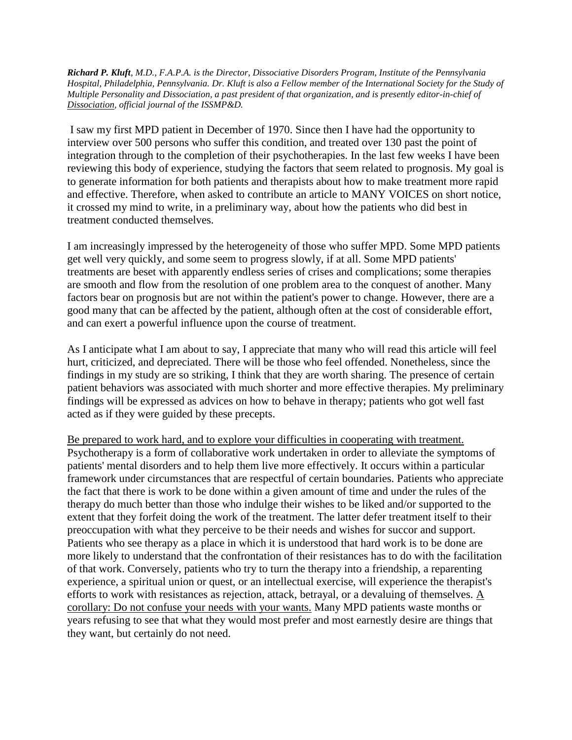*Richard P. Kluft, M.D., F.A.P.A. is the Director, Dissociative Disorders Program, Institute of the Pennsylvania Hospital, Philadelphia, Pennsylvania. Dr. Kluft is also a Fellow member of the International Society for the Study of Multiple Personality and Dissociation, a past president of that organization, and is presently editor-in-chief of Dissociation, official journal of the ISSMP&D.*

I saw my first MPD patient in December of 1970. Since then I have had the opportunity to interview over 500 persons who suffer this condition, and treated over 130 past the point of integration through to the completion of their psychotherapies. In the last few weeks I have been reviewing this body of experience, studying the factors that seem related to prognosis. My goal is to generate information for both patients and therapists about how to make treatment more rapid and effective. Therefore, when asked to contribute an article to MANY VOICES on short notice, it crossed my mind to write, in a preliminary way, about how the patients who did best in treatment conducted themselves.

I am increasingly impressed by the heterogeneity of those who suffer MPD. Some MPD patients get well very quickly, and some seem to progress slowly, if at all. Some MPD patients' treatments are beset with apparently endless series of crises and complications; some therapies are smooth and flow from the resolution of one problem area to the conquest of another. Many factors bear on prognosis but are not within the patient's power to change. However, there are a good many that can be affected by the patient, although often at the cost of considerable effort, and can exert a powerful influence upon the course of treatment.

As I anticipate what I am about to say, I appreciate that many who will read this article will feel hurt, criticized, and depreciated. There will be those who feel offended. Nonetheless, since the findings in my study are so striking, I think that they are worth sharing. The presence of certain patient behaviors was associated with much shorter and more effective therapies. My preliminary findings will be expressed as advices on how to behave in therapy; patients who got well fast acted as if they were guided by these precepts.

Be prepared to work hard, and to explore your difficulties in cooperating with treatment. Psychotherapy is a form of collaborative work undertaken in order to alleviate the symptoms of patients' mental disorders and to help them live more effectively. It occurs within a particular framework under circumstances that are respectful of certain boundaries. Patients who appreciate the fact that there is work to be done within a given amount of time and under the rules of the therapy do much better than those who indulge their wishes to be liked and/or supported to the extent that they forfeit doing the work of the treatment. The latter defer treatment itself to their preoccupation with what they perceive to be their needs and wishes for succor and support. Patients who see therapy as a place in which it is understood that hard work is to be done are more likely to understand that the confrontation of their resistances has to do with the facilitation of that work. Conversely, patients who try to turn the therapy into a friendship, a reparenting experience, a spiritual union or quest, or an intellectual exercise, will experience the therapist's efforts to work with resistances as rejection, attack, betrayal, or a devaluing of themselves.  $\underline{A}$ corollary: Do not confuse your needs with your wants. Many MPD patients waste months or years refusing to see that what they would most prefer and most earnestly desire are things that they want, but certainly do not need.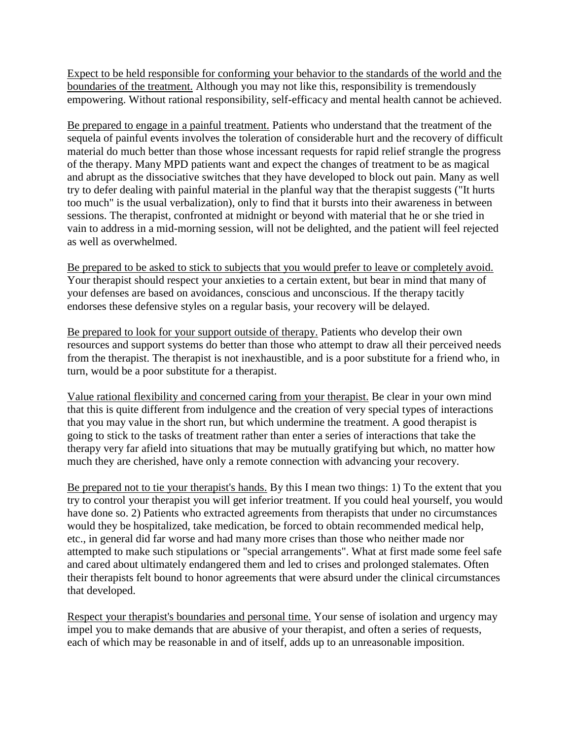Expect to be held responsible for conforming your behavior to the standards of the world and the boundaries of the treatment. Although you may not like this, responsibility is tremendously empowering. Without rational responsibility, self-efficacy and mental health cannot be achieved.

Be prepared to engage in a painful treatment. Patients who understand that the treatment of the sequela of painful events involves the toleration of considerable hurt and the recovery of difficult material do much better than those whose incessant requests for rapid relief strangle the progress of the therapy. Many MPD patients want and expect the changes of treatment to be as magical and abrupt as the dissociative switches that they have developed to block out pain. Many as well try to defer dealing with painful material in the planful way that the therapist suggests ("It hurts too much" is the usual verbalization), only to find that it bursts into their awareness in between sessions. The therapist, confronted at midnight or beyond with material that he or she tried in vain to address in a mid-morning session, will not be delighted, and the patient will feel rejected as well as overwhelmed.

Be prepared to be asked to stick to subjects that you would prefer to leave or completely avoid. Your therapist should respect your anxieties to a certain extent, but bear in mind that many of your defenses are based on avoidances, conscious and unconscious. If the therapy tacitly endorses these defensive styles on a regular basis, your recovery will be delayed.

Be prepared to look for your support outside of therapy. Patients who develop their own resources and support systems do better than those who attempt to draw all their perceived needs from the therapist. The therapist is not inexhaustible, and is a poor substitute for a friend who, in turn, would be a poor substitute for a therapist.

Value rational flexibility and concerned caring from your therapist. Be clear in your own mind that this is quite different from indulgence and the creation of very special types of interactions that you may value in the short run, but which undermine the treatment. A good therapist is going to stick to the tasks of treatment rather than enter a series of interactions that take the therapy very far afield into situations that may be mutually gratifying but which, no matter how much they are cherished, have only a remote connection with advancing your recovery.

Be prepared not to tie your therapist's hands. By this I mean two things: 1) To the extent that you try to control your therapist you will get inferior treatment. If you could heal yourself, you would have done so. 2) Patients who extracted agreements from therapists that under no circumstances would they be hospitalized, take medication, be forced to obtain recommended medical help, etc., in general did far worse and had many more crises than those who neither made nor attempted to make such stipulations or "special arrangements". What at first made some feel safe and cared about ultimately endangered them and led to crises and prolonged stalemates. Often their therapists felt bound to honor agreements that were absurd under the clinical circumstances that developed.

Respect your therapist's boundaries and personal time. Your sense of isolation and urgency may impel you to make demands that are abusive of your therapist, and often a series of requests, each of which may be reasonable in and of itself, adds up to an unreasonable imposition.